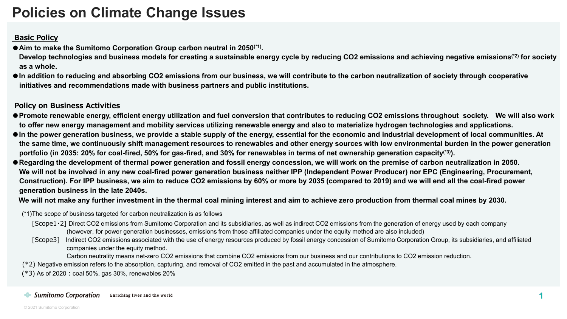## **Policies on Climate Change Issues**

## **Basic Policy**

**●Aim to make the Sumitomo Corporation Group carbon neutral in 2050(\*1).**

**Develop technologies and business models for creating a sustainable energy cycle by reducing CO2 emissions and achieving negative emissions(\*2) for society as a whole.**

● In addition to reducing and absorbing CO2 emissions from our business, we will contribute to the carbon neutralization of society through cooperative **initiatives and recommendations made with business partners and public institutions.**

## **Policy on Business Activities**

- **●Promote renewable energy, efficient energy utilization and fuel conversion that contributes to reducing CO2 emissions throughout society. We will also work to offer new energy management and mobility services utilizing renewable energy and also to materialize hydrogen technologies and applications.**
- **●In the power generation business, we provide a stable supply of the energy, essential for the economic and industrial development of local communities. At the same time, we continuously shift management resources to renewables and other energy sources with low environmental burden in the power generation portfolio (in 2035: 20% for coal-fired, 50% for gas-fired, and 30% for renewables in terms of net ownership generation capacity(\*3)).**
- ●**Regarding the development of thermal power generation and fossil energy concession, we will work on the premise of carbon neutralization in 2050. We will not be involved in any new coal-fired power generation business neither IPP (Independent Power Producer) nor EPC (Engineering, Procurement, Construction). For IPP business, we aim to reduce CO2 emissions by 60% or more by 2035 (compared to 2019) and we will end all the coal-fired power generation business in the late 2040s.**

**We will not make any further investment in the thermal coal mining interest and aim to achieve zero production from thermal coal mines by 2030.**

- (\*1)The scope of business targeted for carbon neutralization is as follows
	- [Scope1·2] Direct CO2 emissions from Sumitomo Corporation and its subsidiaries, as well as indirect CO2 emissions from the generation of energy used by each company (however, for power generation businesses, emissions from those affiliated companies under the equity method are also included)
	- [Scope3] Indirect CO2 emissions associated with the use of energy resources produced by fossil energy concession of Sumitomo Corporation Group, its subsidiaries, and affiliated companies under the equity method.

Carbon neutrality means net-zero CO2 emissions that combine CO2 emissions from our business and our contributions to CO2 emission reduction.

(\*2) Negative emission refers to the absorption, capturing, and removal of CO2 emitted in the past and accumulated in the atmosphere.

 $(*3)$  As of 2020: coal 50%, gas 30%, renewables 20%